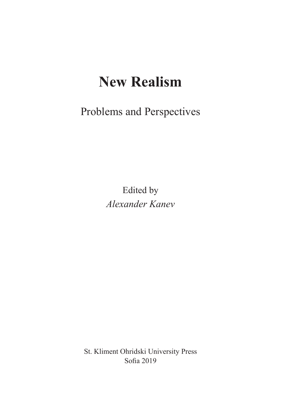# **New Realism**

Problems and Perspectives

Edited by *Alexander Kanev*

St. Kliment Ohridski University Press Sofa 2019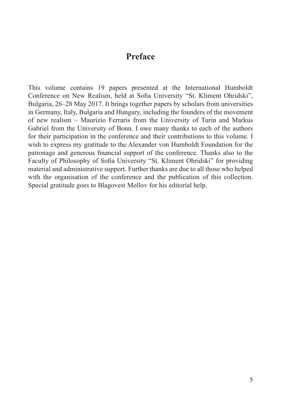# **Preface**

This volume contains 19 papers presented at the International Humboldt Conference on New Realism, held at Sofa University "St. Kliment Ohridski", Bulgaria, 26–28 May 2017. It brings together papers by scholars from universities in Germany, Italy, Bulgaria and Hungary, including the founders of the movement of new realism – Maurizio Ferraris from the University of Turin and Markus Gabriel from the University of Bonn. I owe many thanks to each of the authors for their participation in the conference and their contributions to this volume. I wish to express my gratitude to the Alexander von Humboldt Foundation for the patronage and generous fnancial support of the conference. Thanks also to the Faculty of Philosophy of Sofa University "St. Kliment Ohridski" for providing material and administrative support. Further thanks are due to all those who helped with the organisation of the conference and the publication of this collection. Special gratitude goes to Blagovest Mollov for his editorial help.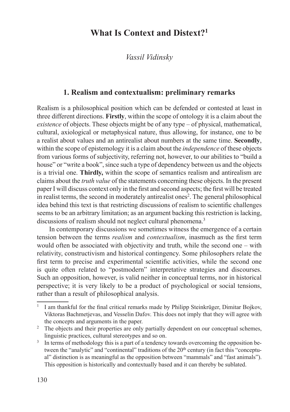# **What Is Context and Distext?1**

*Vassil Vidinsky*

## **1. Realism and contextualism: preliminary remarks**

Realism is a philosophical position which can be defended or contested at least in three different directions. **Firstly**, within the scope of ontology it is a claim about the *existence* of objects. These objects might be of any type – of physical, mathematical, cultural, axiological or metaphysical nature, thus allowing, for instance, one to be a realist about values and an antirealist about numbers at the same time. **Secondly**, within the scope of epistemology it is a claim about the *independence* of these objects from various forms of subjectivity, referring not, however, to our abilities to "build a house" or "write a book", since such a type of dependency between us and the objects is a trivial one. **Thirdly,** within the scope of semantics realism and antirealism are claims about the *truth value* of the statements concerning these objects. In the present paper I will discuss context only in the frst and second aspects; the frst will be treated in realist terms, the second in moderately antirealist ones<sup>2</sup>. The general philosophical idea behind this text is that restricting discussions of realism to scientifc challenges seems to be an arbitrary limitation; as an argument backing this restriction is lacking, discussions of realism should not neglect cultural phenomena.3

In contemporary discussions we sometimes witness the emergence of a certain tension between the terms *realism* and *contextualism*, inasmuch as the frst term would often be associated with objectivity and truth, while the second one – with relativity, constructivism and historical contingency. Some philosophers relate the frst term to precise and experimental scientifc activities, while the second one is quite often related to "postmodern" interpretative strategies and discourses. Such an opposition, however, is valid neither in conceptual terms, nor in historical perspective; it is very likely to be a product of psychological or social tensions, rather than a result of philosophical analysis.

<sup>&</sup>lt;sup>1</sup> I am thankful for the final critical remarks made by Philipp Steinkrüger, Dimitar Bojkov, Viktoras Bachmetjevas, and Vesselin Dafov. This does not imply that they will agree with the concepts and arguments in the paper.

<sup>&</sup>lt;sup>2</sup> The objects and their properties are only partially dependent on our conceptual schemes, linguistic practices, cultural stereotypes and so on.

<sup>&</sup>lt;sup>3</sup> In terms of methodology this is a part of a tendency towards overcoming the opposition between the "analytic" and "continental" traditions of the  $20<sup>th</sup>$  century (in fact this "conceptual" distinction is as meaningful as the opposition between "mammals" and "fast animals"). This opposition is historically and contextually based and it can thereby be sublated.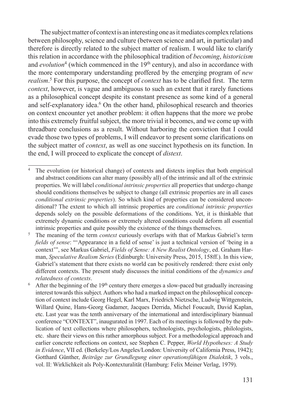The subject matter of context is an interesting one as it mediates complex relations between philosophy, science and culture (between science and art, in particular) and therefore is directly related to the subject matter of realism. I would like to clarify this relation in accordance with the philosophical tradition of *becoming*, *historicism* and *evolution*<sup>4</sup> (which commenced in the 19<sup>th</sup> century), and also in accordance with the more contemporary understanding proffered by the emerging program of *new realism*. <sup>5</sup> For this purpose, the concept of *context* has to be clarifed frst. The term *context*, however, is vague and ambiguous to such an extent that it rarely functions as a philosophical concept despite its constant presence as some kind of a general and self-explanatory idea.<sup>6</sup> On the other hand, philosophical research and theories on context encounter yet another problem: it often happens that the more we probe into this extremely fruitful subject, the more trivial it becomes, and we come up with threadbare conclusions as a result. Without harboring the conviction that I could evade those two types of problems, I will endeavor to present some clarifcations on the subject matter of *context*, as well as one succinct hypothesis on its function. In the end, I will proceed to explicate the concept of *distext*.

 $6$  After the beginning of the 19<sup>th</sup> century there emerges a slow-paced but gradually increasing interest towards this subject. Authors who had a marked impact on the philosophical conception of context include Georg Hegel, Karl Marx, Friedrich Nietzsche, Ludwig Wittgenstein, Willard Quine, Hans-Georg Gadamer, Jacques Derrida, Michel Foucault, David Kaplan, etc. Last year was the tenth anniversary of the international and interdisciplinary biannual conference "CONTEXT", inaugurated in 1997. Each of its meetings is followed by the publication of text collections where philosophers, technologists, psychologists, philologists, etc. share their views on this rather amorphous subject. For a methodological approach and earlier concrete refections on context, see Stephen C. Pepper, *World Hypotheses: A Study in Evidence*, VII ed. (Berkeley/Los Angeles/London: University of California Press, 1942); Gotthard Günther, *Beiträge zur Grundlegung einer operationsfähigen Dialektik*, 3 vols., vol. II: Wirklichkeit als Poly-Kontexturalität (Hamburg: Felix Meiner Verlag, 1979).

<sup>&</sup>lt;sup>4</sup> The evolution (or historical change) of contexts and distexts implies that both empirical and abstract conditions can alter many (possibly all) of the intrinsic and all of the extrinsic properties. We will label *conditional intrinsic properties* all properties that undergo change should conditions themselves be subject to change (all extrinsic properties are in all cases *conditional extrinsic properties*). So which kind of properties can be considered unconditional? The extent to which all intrinsic properties are *conditional intrinsic properties* depends solely on the possible deformations of the conditions. Yet, it is thinkable that extremely dynamic conditions or extremely altered conditions could deform all essential intrinsic properties and quite possibly the existence of the things themselves.

<sup>5</sup> The meaning of the term *context* curiously overlaps with that of Markus Gabriel's term *fields of sense*: "Appearance in a field of sense' is just a technical version of 'being in a context'", see Markus Gabriel, *Fields of Sense: A New Realist Ontology*, ed. Graham Harman, *Speculative Realism Series* (Edinburgh: University Press, 2015, 158ff.). In this view, Gabriel's statement that there exists no world can be positively rendered: there exist only different contexts. The present study discusses the initial conditions of the *dynamics and relatedness of contexts*.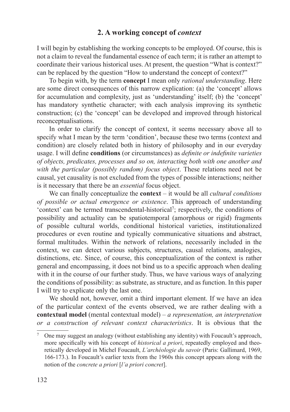## **2. A working concept of** *context*

I will begin by establishing the working concepts to be employed. Of course, this is not a claim to reveal the fundamental essence of each term; it is rather an attempt to coordinate their various historical uses. At present, the question "What is context?" can be replaced by the question "How to understand the concept of context?"

To begin with, by the term **concept** I mean only *rational understanding*. Here are some direct consequences of this narrow explication: (a) the 'concept' allows for accumulation and complexity, just as 'understanding' itself; (b) the 'concept' has mandatory synthetic character; with each analysis improving its synthetic construction; (c) the 'concept' can be developed and improved through historical reconceptualisations.

In order to clarify the concept of context, it seems necessary above all to specify what I mean by the term 'condition', because these two terms (context and condition) are closely related both in history of philosophy and in our everyday usage. I will defne **conditions** (or circumstances) as *defnite or indefnite varieties of objects, predicates, processes and so on, interacting both with one another and with the particular (possibly random) focus object*. These relations need not be causal, yet causality is not excluded from the types of possible interactions; neither is it necessary that there be an *essential* focus object.

We can fnally conceptualize the **context** – it would be all *cultural conditions of possible or actual emergence or existence*. This approach of understanding 'context' can be termed transcendental-historical<sup>7</sup>; respectively, the conditions of possibility and actuality can be spatiotemporal (amorphous or rigid) fragments of possible cultural worlds, conditional historical varieties, institutionalized procedures or even routine and typically communicative situations and abstract, formal multitudes. Within the network of relations, necessarily included in the context, we can detect various subjects, structures, causal relations, analogies, distinctions, etc. Since, of course, this conceptualization of the context is rather general and encompassing, it does not bind us to a specifc approach when dealing with it in the course of our further study. Thus, we have various ways of analyzing the conditions of possibility: as substrate, as structure, and as function. In this paper I will try to explicate only the last one.

We should not, however, omit a third important element. If we have an idea of the particular context of the events observed, we are rather dealing with a **contextual model** (mental contextual model) – *a representation, an interpretation or a construction of relevant context characteristics*. It is obvious that the

<sup>7</sup> One may suggest an analogy (without establishing any identity) with Foucault's approach, more specifcally with his concept of *historical a priori*, repeatedly employed and theoretically developed in Michel Foucault, *L'archéologie du savoir* (Paris: Gallimard, 1969, 166-173.). In Foucault's earlier texts from the 1960s this concept appears along with the notion of the *concrete a priori* [*l'a priori concret*].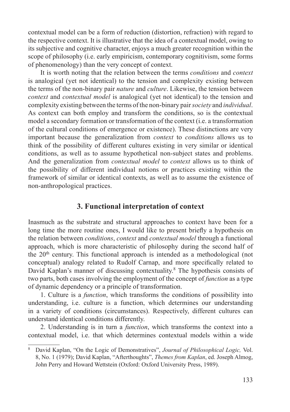contextual model can be a form of reduction (distortion, refraction) with regard to the respective context. It is illustrative that the idea of a contextual model, owing to its subjective and cognitive character, enjoys a much greater recognition within the scope of philosophy (i.e. early empiricism, contemporary cognitivism, some forms of phenomenology) than the very concept of context.

It is worth noting that the relation between the terms *conditions* and *context* is analogical (yet not identical) to the tension and complexity existing between the terms of the non-binary pair *nature* and *culture*. Likewise, the tension between *context* and *contextual model* is analogical (yet not identical) to the tension and complexity existing between the terms of the non-binary pair *society* and *individual*. As context can both employ and transform the conditions, so is the contextual model a secondary formation or transformation of the context (i.e. a transformation of the cultural conditions of emergence or existence). These distinctions are very important because the generalization from *context* to *conditions* allows us to think of the possibility of different cultures existing in very similar or identical conditions, as well as to assume hypothetical non-subject states and problems. And the generalization from *contextual model* to *context* allows us to think of the possibility of different individual notions or practices existing within the framework of similar or identical contexts, as well as to assume the existence of non-anthropological practices.

### **3. Functional interpretation of context**

Inasmuch as the substrate and structural approaches to context have been for a long time the more routine ones, I would like to present briefy a hypothesis on the relation between *conditions*, *context* and *contextual model* through a functional approach, which is more characteristic of philosophy during the second half of the  $20<sup>th</sup>$  century. This functional approach is intended as a methodological (not conceptual) analogy related to Rudolf Carnap, and more specifcally related to David Kaplan's manner of discussing contextuality.<sup>8</sup> The hypothesis consists of two parts, both cases involving the employment of the concept of *function* as a type of dynamic dependency or a principle of transformation.

1. Culture is a *function*, which transforms the conditions of possibility into understanding, i.e. culture is a function, which determines our understanding in a variety of conditions (circumstances). Respectively, different cultures can understand identical conditions differently.

2. Understanding is in turn a *function*, which transforms the context into a contextual model, i.e. that which determines contextual models within a wide

<sup>8</sup> David Kaplan, "On the Logic of Demonstratives", *Journal of Philosophical Logic,* Vol. 8, No. 1 (1979); David Kaplan, "Afterthoughts", *Themes from Kaplan*, ed. Joseph Almog, John Perry and Howard Wettstein (Oxford: Oxford University Press, 1989).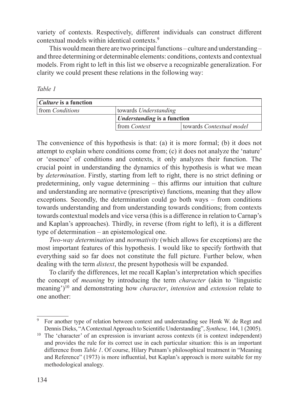variety of contexts. Respectively, different individuals can construct different contextual models within identical contexts.9

This would mean there are two principal functions – culture and understanding – and three determining or determinable elements: conditions, contexts and contextual models. From right to left in this list we observe a recognizable generalization. For clarity we could present these relations in the following way:

*Table 1*

| <i>Culture</i> is a function |                             |                          |  |  |
|------------------------------|-----------------------------|--------------------------|--|--|
| from <i>Conditions</i>       | towards Understanding       |                          |  |  |
|                              | Understanding is a function |                          |  |  |
|                              | from <i>Context</i>         | towards Contextual model |  |  |

The convenience of this hypothesis is that: (a) it is more formal; (b) it does not attempt to explain where conditions come from; (c) it does not analyze the 'nature' or 'essence' of conditions and contexts, it only analyzes their function. The crucial point in understanding the dynamics of this hypothesis is what we mean by *determination*. Firstly, starting from left to right, there is no strict defning or predetermining, only vague determining – this affrms our intuition that culture and understanding are normative (prescriptive) functions, meaning that they allow exceptions. Secondly, the determination could go both ways – from conditions towards understanding and from understanding towards conditions; from contexts towards contextual models and vice versa (this is a difference in relation to Carnap's and Kaplan's approaches). Thirdly, in reverse (from right to left), it is a different type of determination – an epistemological one.

*Two-way determination* and *normativity* (which allows for exceptions) are the most important features of this hypothesis. I would like to specify forthwith that everything said so far does not constitute the full picture. Further below, when dealing with the term *distext*, the present hypothesis will be expanded.

To clarify the differences, let me recall Kaplan's interpretation which specifes the concept of *meaning* by introducing the term *character* (akin to 'linguistic meaning')10 and demonstrating how *character*, *intension* and *extension* relate to one another:

<sup>9</sup> For another type of relation between context and understanding see Henk W. de Regt and Dennis Dieks, "A Contextual Approach to Scientifc Understanding", *Synthese,* 144, 1 (2005).

<sup>&</sup>lt;sup>10</sup> The 'character' of an expression is invariant across contexts (it is context independent) and provides the rule for its correct use in each particular situation: this is an important difference from *Table 1*. Of course, Hilary Putnam's philosophical treatment in "Meaning and Reference" (1973) is more infuential, but Kaplan's approach is more suitable for my methodological analogy.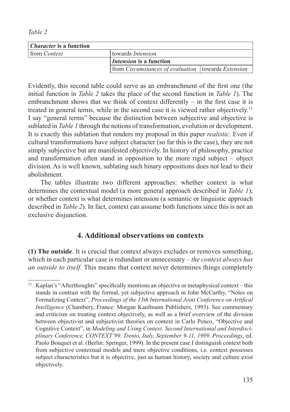*Table 2*

| <i>Character</i> is a function |                                                     |  |
|--------------------------------|-----------------------------------------------------|--|
| from <i>Context</i>            | towards <i>Intension</i>                            |  |
|                                | <i>Intension</i> is a function                      |  |
|                                | from Circumstances of evaluation \towards Extension |  |

Evidently, this second table could serve as an embranchment of the frst one (the initial function in *Table 2* takes the place of the second function in *Table 1*). The embranchment shows that we think of context differently  $-$  in the first case it is treated in general terms, while in the second case it is viewed rather objectively.11 I say "general terms" because the distinction between subjective and objective is sublated in *Table 1* through the notions of transformation, evolution or development. It is exactly this sublation that renders my proposal in this paper *realistic*. Even if cultural transformations have subject character (so far this is the case), they are not simply subjective but are manifested objectively. In history of philosophy, practice and transformation often stand in opposition to the more rigid subject – object division. As is well known, sublating such binary oppositions does not lead to their abolishment.

The tables illustrate two different approaches: whether context is what determines the contextual model (a more general approach described in *Table 1*); or whether context is what determines intension (a semantic or linguistic approach described in *Table 2*). In fact, context can assume both functions since this is not an exclusive disjunction.

# **4. Additional observations on contexts**

**(1) The outside**. It is crucial that context always excludes or removes something, which in each particular case is redundant or unnecessary – *the context always has an outside to itself*. This means that context never determines things completely

<sup>&</sup>lt;sup>11</sup> Kaplan's "Afterthoughts" specifically mentions an objective or metaphysical context – this stands in contrast with the formal, yet subjective approach in John McCarthy, "Notes on Formalizing Context", *Proceedings of the 13th International Joint Conference on Artifcal Intelligence* (Chambery, France: Morgan Kaufmann Publishers, 1993). See commentary and criticism on treating context objectively, as well as a brief overview of the division between objectivist and subjectivist theories on context in Carlo Penco, "Objective and Cognitive Context", in *Modeling and Using Context. Second International and Interdisciplinary Conference, CONTEXT'99. Trento, Italy, September 9-11, 1999. Proceedings*, ed. Paolo Bouquet et al. (Berlin: Springer, 1999). In the present case I distinguish context both from subjective contextual models and mere objective conditions, i.e. context possesses subject characteristics but it is objective, just as human history, society and culture exist objectively.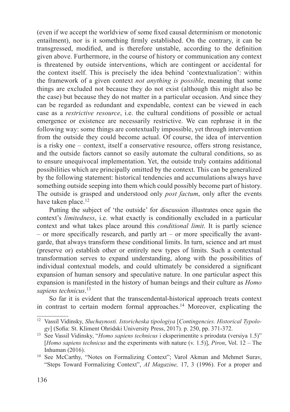(even if we accept the worldview of some fxed causal determinism or monotonic entailment), nor is it something frmly established. On the contrary, it can be transgressed, modifed, and is therefore unstable, according to the defnition given above. Furthermore, in the course of history or communication any context is threatened by outside interventions, which are contingent or accidental for the context itself. This is precisely the idea behind 'contextualization': within the framework of a given context *not anything is possible*, meaning that some things are excluded not because they do not exist (although this might also be the case) but because they do not matter in a particular occasion. And since they can be regarded as redundant and expendable, context can be viewed in each case as a *restrictive resource*, i.e. the cultural conditions of possible or actual emergence or existence are necessarily restrictive. We can rephrase it in the following way: some things are contextually impossible, yet through intervention from the outside they could become actual. Of course, the idea of intervention is a risky one – context, itself a conservative resource, offers strong resistance, and the outside factors cannot so easily automate the cultural conditions, so as to ensure unequivocal implementation. Yet, the outside truly contains additional possibilities which are principally omitted by the context. This can be generalized by the following statement: historical tendencies and accumulations always have something outside seeping into them which could possibly become part of history. The outside is grasped and understood only *post factum*, only after the events have taken place.<sup>12</sup>

Putting the subject of 'the outside' for discussion illustrates once again the context's *limitedness*, i.e. what exactly is conditionally excluded in a particular context and what takes place around this *conditional limit*. It is partly science – or more specifcally research, and partly art – or more specifcally the avantgarde, that always transform these conditional limits. In turn, science and art must (preserve or) establish other or entirely new types of limits. Such a contextual transformation serves to expand understanding, along with the possibilities of individual contextual models, and could ultimately be considered a signifcant expansion of human sensory and speculative nature. In one particular aspect this expansion is manifested in the history of human beings and their culture as *Homo sapiens technicus*. 13

So far it is evident that the transcendental-historical approach treats context in contrast to certain modern formal approaches.<sup>14</sup> Moreover, explicating the

<sup>12</sup> Vassil Vidinsky, *Sluchaynosti. Istoricheska tipologiya* [*Contingencies. Historical Typology*] (Sofa: St. Kliment Ohridski University Press, 2017). p. 250, pp. 371-372.

<sup>&</sup>lt;sup>13</sup> See Vassil Vidinsky, "*Homo sapiens technicus* i eksperimentite s prirodata (versiya 1.5)" [*Homo sapiens technicus* and the experiments with nature (v. 1.5)], *Piron*, Vol. 12 – The Inhuman (2016).

<sup>&</sup>lt;sup>14</sup> See McCarthy, "Notes on Formalizing Context"; Varol Akman and Mehmet Surav, "Steps Toward Formalizing Context", *AI Magazine,* 17, 3 (1996). For a proper and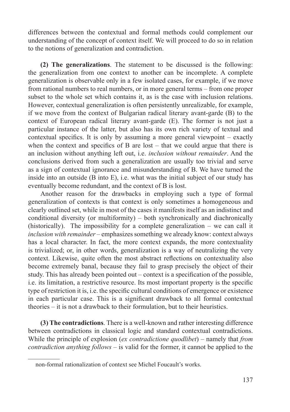differences between the contextual and formal methods could complement our understanding of the concept of context itself. We will proceed to do so in relation to the notions of generalization and contradiction.

**(2) The generalizations**. The statement to be discussed is the following: the generalization from one context to another can be incomplete. A complete generalization is observable only in a few isolated cases, for example, if we move from rational numbers to real numbers, or in more general terms – from one proper subset to the whole set which contains it, as is the case with inclusion relations. However, contextual generalization is often persistently unrealizable, for example, if we move from the context of Bulgarian radical literary avant-garde (B) to the context of European radical literary avant-garde (E). The former is not just a particular instance of the latter, but also has its own rich variety of textual and contextual specifcs. It is only by assuming a more general viewpoint – exactly when the context and specifics of  $B$  are lost – that we could argue that there is an inclusion without anything left out, i.e. *inclusion without remainder*. And the conclusions derived from such a generalization are usually too trivial and serve as a sign of contextual ignorance and misunderstanding of B. We have turned the inside into an outside (B into E), i.e. what was the initial subject of our study has eventually become redundant, and the context of B is lost.

Another reason for the drawbacks in employing such a type of formal generalization of contexts is that context is only sometimes a homogeneous and clearly outlined set, while in most of the cases it manifests itself as an indistinct and conditional diversity (or multiformity) – both synchronically and diachronically (historically). The impossibility for a complete generalization – we can call it *inclusion with remainder* – emphasizes something we already know: context always has a local character. In fact, the more context expands, the more contextuality is trivialized; or, in other words, generalization is a way of neutralizing the very context. Likewise, quite often the most abstract refections on contextuality also become extremely banal, because they fail to grasp precisely the object of their study. This has already been pointed out – context is a specifcation of the possible, i.e. its limitation, a restrictive resource. Its most important property is the specifc type of restriction it is, i.e. the specifc cultural conditions of emergence or existence in each particular case. This is a signifcant drawback to all formal contextual theories – it is not a drawback to their formulation, but to their heuristics.

**(3) The contradictions**. There is a well-known and rather interesting difference between contradictions in classical logic and standard contextual contradictions. While the principle of explosion (*ex contradictione quodlibet*) – namely that *from contradiction anything follows* – is valid for the former, it cannot be applied to the

non-formal rationalization of context see Michel Foucault's works.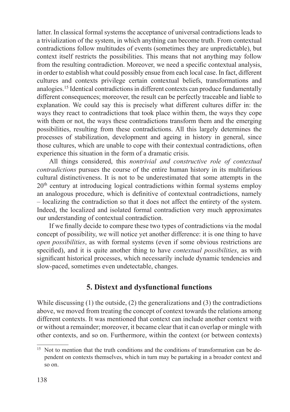latter. In classical formal systems the acceptance of universal contradictions leads to a trivialization of the system, in which anything can become truth. From contextual contradictions follow multitudes of events (sometimes they are unpredictable), but context itself restricts the possibilities. This means that not anything may follow from the resulting contradiction. Moreover, we need a specifc contextual analysis, in order to establish what could possibly ensue from each local case. In fact, different cultures and contexts privilege certain contextual beliefs, transformations and analogies.<sup>15</sup> Identical contradictions in different contexts can produce fundamentally different consequences; moreover, the result can be perfectly traceable and liable to explanation. We could say this is precisely what different cultures differ in: the ways they react to contradictions that took place within them, the ways they cope with them or not, the ways these contradictions transform them and the emerging possibilities, resulting from these contradictions. All this largely determines the processes of stabilization, development and ageing in history in general, since those cultures, which are unable to cope with their contextual contradictions, often experience this situation in the form of a dramatic crisis.

All things considered, this *nontrivial and constructive role of contextual contradictions* pursues the course of the entire human history in its multifarious cultural distinctiveness. It is not to be underestimated that some attempts in the 20th century at introducing logical contradictions within formal systems employ an analogous procedure, which is defnitive of contextual contradictions, namely – localizing the contradiction so that it does not affect the entirety of the system. Indeed, the localized and isolated formal contradiction very much approximates our understanding of contextual contradiction.

If we fnally decide to compare these two types of contradictions via the modal concept of possibility, we will notice yet another difference: it is one thing to have *open possibilities*, as with formal systems (even if some obvious restrictions are specifed), and it is quite another thing to have *contextual possibilities*, as with signifcant historical processes, which necessarily include dynamic tendencies and slow-paced, sometimes even undetectable, changes.

# **5. Distext and dysfunctional functions**

While discussing (1) the outside, (2) the generalizations and (3) the contradictions above, we moved from treating the concept of context towards the relations among different contexts. It was mentioned that context can include another context with or without a remainder; moreover, it became clear that it can overlap or mingle with other contexts, and so on. Furthermore, within the context (or between contexts)

Not to mention that the truth conditions and the conditions of transformation can be dependent on contexts themselves, which in turn may be partaking in a broader context and so on.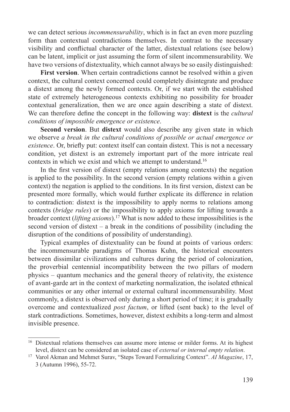we can detect serious *incommensurability*, which is in fact an even more puzzling form than contextual contradictions themselves. In contrast to the necessary visibility and confictual character of the latter, distextual relations (see below) can be latent, implicit or just assuming the form of silent incommensurability. We have two versions of distextuality, which cannot always be so easily distinguished:

**First version**. When certain contradictions cannot be resolved within a given context, the cultural context concerned could completely disintegrate and produce a distext among the newly formed contexts. Or, if we start with the established state of extremely heterogeneous contexts exhibiting no possibility for broader contextual generalization, then we are once again describing a state of distext. We can therefore defne the concept in the following way: **distext** is the *cultural conditions of impossible emergence or existence*.

**Second version**. But **distext** would also describe any given state in which we observe *a break in the cultural conditions of possible or actual emergence or existence*. Or, briefly put: context itself can contain distext. This is not a necessary condition, yet distext is an extremely important part of the more intricate real contexts in which we exist and which we attempt to understand.16

In the frst version of distext (empty relations among contexts) the negation is applied to the possibility. In the second version (empty relations within a given context) the negation is applied to the conditions. In its frst version, distext can be presented more formally, which would further explicate its difference in relation to contradiction: distext is the impossibility to apply norms to relations among contexts (*bridge rules*) or the impossibility to apply axioms for lifting towards a broader context (*lifting axioms*). <sup>17</sup> What is now added to these impossibilities is the second version of distext – a break in the conditions of possibility (including the disruption of the conditions of possibility of understanding).

Typical examples of distextuality can be found at points of various orders: the incommensurable paradigms of Thomas Kuhn, the historical encounters between dissimilar civilizations and cultures during the period of colonization, the proverbial centennial incompatibility between the two pillars of modern physics – quantum mechanics and the general theory of relativity, the existence of avant-garde art in the context of marketing normalization, the isolated ethnical communities or any other internal or external cultural incommensurability. Most commonly, a distext is observed only during a short period of time; it is gradually overcome and contextualized *post factum*, or lifted (sent back) to the level of stark contradictions. Sometimes, however, distext exhibits a long-term and almost invisible presence.

<sup>&</sup>lt;sup>16</sup> Distextual relations themselves can assume more intense or milder forms. At its highest level, distext can be considered an isolated case of *external or internal empty relation*.

<sup>17</sup> Varol Akman and Mehmet Surav, "Steps Toward Formalizing Context". *AI Magazine*, 17, 3 (Autumn 1996), 55-72.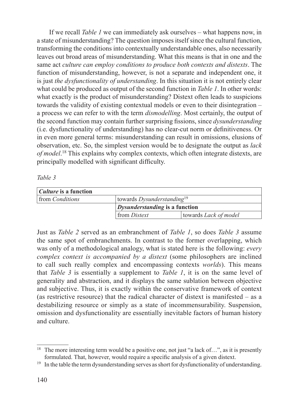If we recall *Table 1* we can immediately ask ourselves – what happens now, in a state of misunderstanding? The question imposes itself since the cultural function, transforming the conditions into contextually understandable ones, also necessarily leaves out broad areas of misunderstanding. What this means is that in one and the same act *culture can employ conditions to produce both contexts and distexts*. The function of misunderstanding, however, is not a separate and independent one, it is just *the dysfunctionality of understanding*. In this situation it is not entirely clear what could be produced as output of the second function in *Table 1*. In other words: what exactly is the product of misunderstanding? Distext often leads to suspicions towards the validity of existing contextual models or even to their disintegration – a process we can refer to with the term *dismodelling*. Most certainly, the output of the second function may contain further surprising fssions, since *dysunderstanding* (i.e. dysfunctionality of understanding) has no clear-cut norm or defnitiveness. Or in even more general terms: misunderstanding can result in omissions, elusions of observation, etc. So, the simplest version would be to designate the output as *lack of model*. <sup>18</sup> This explains why complex contexts, which often integrate distexts, are principally modelled with signifcant diffculty.

Table 3

| <i>Culture</i> is a function |                                        |                              |  |
|------------------------------|----------------------------------------|------------------------------|--|
| from <i>Conditions</i>       | towards Dysunderstanding <sup>19</sup> |                              |  |
|                              | Dysunderstanding is a function         |                              |  |
|                              | from <i>Distext</i>                    | towards <i>Lack of model</i> |  |

Just as *Table 2* served as an embranchment of *Table 1*, so does *Table 3* assume the same spot of embranchments. In contrast to the former overlapping, which was only of a methodological analogy, what is stated here is the following: *every complex context is accompanied by a distext* (some philosophers are inclined to call such really complex and encompassing contexts *worlds*). This means that *Table 3* is essentially a supplement to *Table 1*, it is on the same level of generality and abstraction, and it displays the same sublation between objective and subjective. Thus, it is exactly within the conservative framework of context (as restrictive resource) that the radical character of distext is manifested – as a destabilizing resource or simply as a state of incommensurability. Suspension, omission and dysfunctionality are essentially inevitable factors of human history and culture.

<sup>&</sup>lt;sup>18</sup> The more interesting term would be a positive one, not just "a lack of...", as it is presently formulated. That, however, would require a specifc analysis of a given distext.

 $19$  In the table the term dysunderstanding serves as short for dysfunctionality of understanding.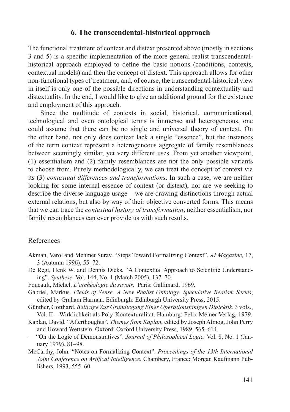## **6. The transcendental-historical approach**

The functional treatment of context and distext presented above (mostly in sections 3 and 5) is a specifc implementation of the more general realist transcendentalhistorical approach employed to defne the basic notions (conditions, contexts, contextual models) and then the concept of distext. This approach allows for other non-functional types of treatment, and, of course, the transcendental-historical view in itself is only one of the possible directions in understanding contextuality and distextuality. In the end, I would like to give an additional ground for the existence and employment of this approach.

Since the multitude of contexts in social, historical, communicational, technological and even ontological terms is immense and heterogeneous, one could assume that there can be no single and universal theory of context. On the other hand, not only does context lack a single "essence", but the instances of the term context represent a heterogeneous aggregate of family resemblances between seemingly similar, yet very different uses. From yet another viewpoint, (1) essentialism and (2) family resemblances are not the only possible variants to choose from. Purely methodologically, we can treat the concept of context via its (3) *contextual differences and transformations*. In such a case, we are neither looking for some internal essence of context (or distext), nor are we seeking to describe the diverse language usage – we are drawing distinctions through actual external relations, but also by way of their objective converted forms. This means that we can trace the *contextual history of transformation*; neither essentialism, nor family resemblances can ever provide us with such results.

#### References

- Akman, Varol and Mehmet Surav. "Steps Toward Formalizing Context". *AI Magazine,* 17, 3 (Autumn 1996), 55–72.
- De Regt, Henk W. and Dennis Dieks. "A Contextual Approach to Scientifc Understanding". *Synthese,* Vol. 144, No. 1 (March 2005), 137–70.
- Foucault, Michel. *L'archéologie du savoir*. Paris: Gallimard, 1969.
- Gabriel, Markus. *Fields of Sense: A New Realist Ontology*. *Speculative Realism Series*, edited by Graham Harman. Edinburgh: Edinburgh University Press, 2015.
- Günther, Gotthard. *Beiträge Zur Grundlegung Einer Operationsfähigen Dialektik*. 3 vols., Vol. II – Wirklichkeit als Poly-Kontexturalität. Hamburg: Felix Meiner Verlag, 1979.
- Kaplan, David. "Afterthoughts". *Themes from Kaplan*, edited by Joseph Almog, John Perry and Howard Wettstein. Oxford: Oxford University Press, 1989, 565–614.
- "On the Logic of Demonstratives". *Journal of Philosophical Logic.* Vol. 8, No. 1 (January 1979), 81–98.
- McCarthy, John. "Notes on Formalizing Context". *Proceedings of the 13th International Joint Conference on Artifcal Intelligence*. Chambery, France: Morgan Kaufmann Publishers, 1993, 555–60.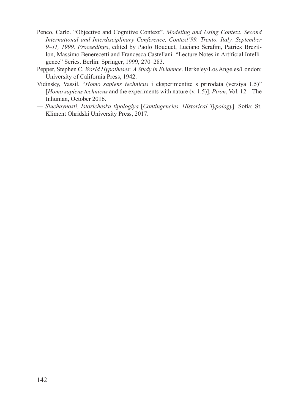- Penco, Carlo. "Objective and Cognitive Context". *Modeling and Using Context. Second International and Interdisciplinary Conference, Context'99. Trento, Italy, September 9*–*11, 1999. Proceedings*, edited by Paolo Bouquet, Luciano Serafni, Patrick Brezillon, Massimo Benerecetti and Francesca Castellani. "Lecture Notes in Artifcial Intelligence" Series. Berlin: Springer, 1999, 270–283.
- Pepper, Stephen C. *World Hypotheses: A Study in Evidence*. Berkeley/Los Angeles/London: University of California Press, 1942.
- Vidinsky, Vassil. "*Homo sapiens technicus* i eksperimentite s prirodata (versiya 1.5)" [*Homo sapiens technicus* and the experiments with nature (v. 1.5)]. *Piron*, Vol. 12 – The Inhuman, October 2016.
- *Sluchaynosti. Istoricheska tipologiya* [*Contingencies. Historical Typology*]. Sofa: St. Kliment Ohridski University Press, 2017.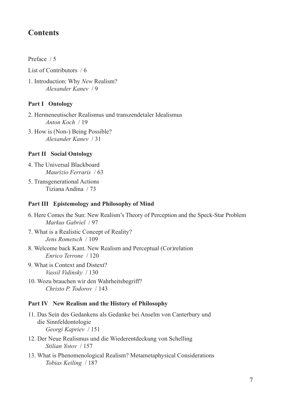# **Contents**

Preface / 5

List of Contributors / 6

1. Introduction: Why *New* Realism? *Alexander Kanev* / 9

#### **Part I Ontology**

- 2. Hermeneutischer Realismus und transzendetaler Idealismus *Anton Koch* / 19
- 3. How is (Non-) Being Possible? *Alexander Kanev* / 31

#### **Part II Social Ontology**

- 4. The Universal Blackboard *Maurizio Ferraris* / 63
- 5. Transgenerational Actions Tiziana Andina / 73

#### **Part III Epistemology and Philosophy of Mind**

- 6. Here Comes the Sun: New Realism's Theory of Perception and the Speck-Star Problem *Markus Gabriel* / 97
- 7. What is a Realistic Concept of Reality? *Jens Rometsch* / 109
- 8. Welcome back Kant. New Realism and Perceptual (Cor)relation *Enrico Terrone* / 120
- 9. What is Context and Distext? *Vassil Vidinsky* / 130
- 10. Wozu brauchen wir den Wahrheitsbegriff? *Christo P. Todorov* / 143

#### **Part IV New Realism and the History of Philosophy**

- 11. Das Sein des Gedankens als Gedanke bei Anselm von Canterbury und die Sinnfeldontologie *Georgi Kapriev* / 151
- 12. Der Neue Realismus und die Wiederentdeckung von Schelling *Stilian Yotov* / 157
- 13. What is Phenomenological Realism? Metametaphysical Considerations *Tobias Keiling* / 187